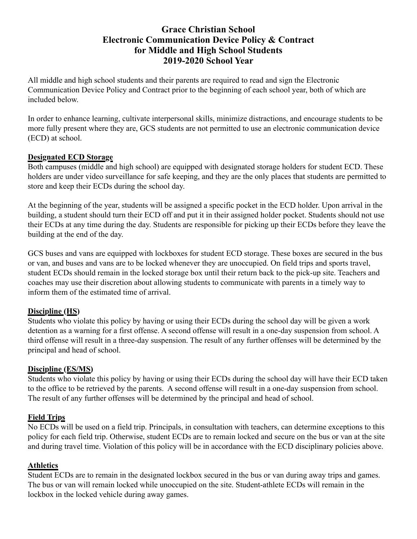## **Grace Christian School Electronic Communication Device Policy & Contract for Middle and High School Students 2019-2020 School Year**

All middle and high school students and their parents are required to read and sign the Electronic Communication Device Policy and Contract prior to the beginning of each school year, both of which are included below.

In order to enhance learning, cultivate interpersonal skills, minimize distractions, and encourage students to be more fully present where they are, GCS students are not permitted to use an electronic communication device (ECD) at school.

#### **Designated ECD Storage**

Both campuses (middle and high school) are equipped with designated storage holders for student ECD. These holders are under video surveillance for safe keeping, and they are the only places that students are permitted to store and keep their ECDs during the school day.

At the beginning of the year, students will be assigned a specific pocket in the ECD holder. Upon arrival in the building, a student should turn their ECD off and put it in their assigned holder pocket. Students should not use their ECDs at any time during the day. Students are responsible for picking up their ECDs before they leave the building at the end of the day.

GCS buses and vans are equipped with lockboxes for student ECD storage. These boxes are secured in the bus or van, and buses and vans are to be locked whenever they are unoccupied. On field trips and sports travel, student ECDs should remain in the locked storage box until their return back to the pick-up site. Teachers and coaches may use their discretion about allowing students to communicate with parents in a timely way to inform them of the estimated time of arrival.

#### **Discipline (HS)**

Students who violate this policy by having or using their ECDs during the school day will be given a work detention as a warning for a first offense. A second offense will result in a one-day suspension from school. A third offense will result in a three-day suspension. The result of any further offenses will be determined by the principal and head of school.

#### **Discipline (ES/MS)**

Students who violate this policy by having or using their ECDs during the school day will have their ECD taken to the office to be retrieved by the parents. A second offense will result in a one-day suspension from school. The result of any further offenses will be determined by the principal and head of school.

#### **Field Trips**

No ECDs will be used on a field trip. Principals, in consultation with teachers, can determine exceptions to this policy for each field trip. Otherwise, student ECDs are to remain locked and secure on the bus or van at the site and during travel time. Violation of this policy will be in accordance with the ECD disciplinary policies above.

### **Athletics**

Student ECDs are to remain in the designated lockbox secured in the bus or van during away trips and games. The bus or van will remain locked while unoccupied on the site. Student-athlete ECDs will remain in the lockbox in the locked vehicle during away games.